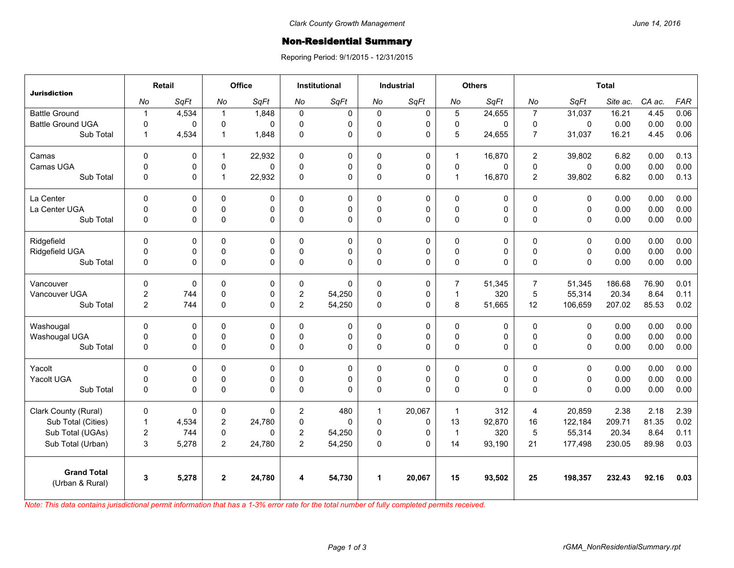## Non-Residential Summary

Reporing Period: 9/1/2015 - 12/31/2015

|                                       | Retail                  |       | Office         |             | <b>Institutional</b> |             | <b>Industrial</b>    |             | <b>Others</b>  |             | <b>Total</b>   |              |          |        |            |
|---------------------------------------|-------------------------|-------|----------------|-------------|----------------------|-------------|----------------------|-------------|----------------|-------------|----------------|--------------|----------|--------|------------|
| <b>Jurisdiction</b>                   | No                      | SqFt  | No             | SqFt        | No                   | SqFt        | No                   | SqFt        | No             | SqFt        | No             | SqFt         | Site ac. | CA ac. | <b>FAR</b> |
| <b>Battle Ground</b>                  | $\mathbf{1}$            | 4,534 | $\overline{1}$ | 1,848       | 0                    | $\mathbf 0$ | 0                    | 0           | 5              | 24,655      | $\overline{7}$ | 31,037       | 16.21    | 4.45   | 0.06       |
| <b>Battle Ground UGA</b>              | $\mathbf 0$             | 0     | $\mathbf 0$    | $\Omega$    | $\Omega$             | 0           | $\Omega$             | 0           | $\mathbf 0$    | 0           | 0              | $\mathbf 0$  | 0.00     | 0.00   | 0.00       |
| Sub Total                             | $\mathbf{1}$            | 4,534 | $\mathbf{1}$   | 1,848       | $\Omega$             | 0           | $\mathsf 0$          | $\mathbf 0$ | 5              | 24,655      | $\overline{7}$ | 31,037       | 16.21    | 4.45   | 0.06       |
| Camas                                 | $\mathbf 0$             | 0     | $\mathbf{1}$   | 22,932      | $\mathbf 0$          | 0           | $\mathbf 0$          | 0           | $\mathbf{1}$   | 16,870      | $\overline{2}$ | 39,802       | 6.82     | 0.00   | 0.13       |
| Camas UGA                             | $\mathbf 0$             | 0     | 0              | $\Omega$    | $\Omega$             | 0           | 0                    | $\mathbf 0$ | $\mathbf 0$    | 0           | $\mathbf 0$    | $\mathbf{0}$ | 0.00     | 0.00   | 0.00       |
| Sub Total                             | $\mathbf 0$             | 0     | $\overline{1}$ | 22,932      | 0                    | 0           | 0                    | $\mathbf 0$ | $\mathbf{1}$   | 16,870      | $\overline{2}$ | 39,802       | 6.82     | 0.00   | 0.13       |
| La Center                             | $\mathbf 0$             | 0     | $\pmb{0}$      | $\mathbf 0$ | $\mathbf{0}$         | 0           | $\mathsf 0$          | $\mathbf 0$ | 0              | $\mathbf 0$ | $\pmb{0}$      | $\mathbf 0$  | 0.00     | 0.00   | 0.00       |
| La Center UGA                         | $\Omega$                | 0     | $\mathbf 0$    | $\mathbf 0$ | $\Omega$             | 0           | $\Omega$             | $\mathbf 0$ | $\mathbf 0$    | 0           | $\Omega$       | $\Omega$     | 0.00     | 0.00   | 0.00       |
| Sub Total                             | $\mathbf 0$             | 0     | $\pmb{0}$      | $\Omega$    | $\Omega$             | 0           | 0                    | $\Omega$    | $\pmb{0}$      | 0           | $\Omega$       | $\Omega$     | 0.00     | 0.00   | 0.00       |
| Ridgefield                            | $\Omega$                | 0     | 0              | 0           | 0                    | 0           | $\mathbf 0$          | 0           | 0              | 0           | $\Omega$       | $\Omega$     | 0.00     | 0.00   | 0.00       |
| Ridgefield UGA                        | $\mathbf 0$             | 0     | $\mathbf 0$    | $\Omega$    | $\mathbf{0}$         | 0           | 0                    | 0           | $\mathbf 0$    | 0           | $\Omega$       | $\Omega$     | 0.00     | 0.00   | 0.00       |
| Sub Total                             | $\mathbf 0$             | 0     | $\mathbf 0$    | $\Omega$    | $\Omega$             | 0           | 0                    | 0           | 0              | 0           | $\Omega$       | $\Omega$     | 0.00     | 0.00   | 0.00       |
| Vancouver                             | $\mathbf 0$             | 0     | 0              | 0           | $\Omega$             | $\Omega$    | $\mathbf 0$          | 0           | $\overline{7}$ | 51.345      | $\overline{7}$ | 51,345       | 186.68   | 76.90  | 0.01       |
| Vancouver UGA                         | $\overline{\mathbf{c}}$ | 744   | $\pmb{0}$      | $\Omega$    | $\overline{c}$       | 54,250      | $\mathbf{0}$         | 0           | $\mathbf{1}$   | 320         | 5              | 55,314       | 20.34    | 8.64   | 0.11       |
| Sub Total                             | 2                       | 744   | 0              | $\Omega$    | $\overline{2}$       | 54,250      | $\Omega$             | 0           | 8              | 51,665      | 12             | 106,659      | 207.02   | 85.53  | 0.02       |
| Washougal                             | $\mathbf 0$             | 0     | 0              | $\Omega$    | $\Omega$             | 0           | $\mathbf 0$          | 0           | 0              | 0           | $\Omega$       | $\Omega$     | 0.00     | 0.00   | 0.00       |
| Washougal UGA                         | $\pmb{0}$               | 0     | 0              | 0           | $\mathbf{0}$         | 0           | 0                    | 0           | $\pmb{0}$      | 0           | $\mathbf 0$    | 0            | 0.00     | 0.00   | 0.00       |
| Sub Total                             | $\mathbf 0$             | 0     | $\mathbf 0$    | $\Omega$    | 0                    | 0           | 0                    | $\Omega$    | 0              | 0           | $\Omega$       | 0            | 0.00     | 0.00   | 0.00       |
| Yacolt                                | $\mathbf 0$             | 0     | 0              | $\Omega$    | $\Omega$             | 0           | $\mathbf 0$          | 0           | 0              | 0           | $\Omega$       | $\Omega$     | 0.00     | 0.00   | 0.00       |
| Yacolt UGA                            | $\mathbf 0$             | 0     | 0              | 0           | $\Omega$             | 0           | 0                    | 0           | $\pmb{0}$      | 0           | $\mathbf 0$    | 0            | 0.00     | 0.00   | 0.00       |
| Sub Total                             | $\mathbf{0}$            | 0     | $\mathbf 0$    | $\Omega$    | $\Omega$             | 0           | $\Omega$             | $\Omega$    | 0              | 0           | $\Omega$       | $\Omega$     | 0.00     | 0.00   | 0.00       |
| Clark County (Rural)                  | $\mathbf 0$             | 0     | 0              | $\Omega$    | $\mathbf{2}$         | 480         | $\mathbf{1}$         | 20,067      | $\mathbf{1}$   | 312         | $\overline{4}$ | 20,859       | 2.38     | 2.18   | 2.39       |
| Sub Total (Cities)                    | $\mathbf{1}$            | 4,534 | $\overline{c}$ | 24,780      | $\mathbf 0$          | $\Omega$    | $\mathbf 0$          | 0           | 13             | 92,870      | 16             | 122,184      | 209.71   | 81.35  | 0.02       |
| Sub Total (UGAs)                      | $\overline{2}$          | 744   | 0              | $\Omega$    | $\overline{2}$       | 54,250      | 0                    | $\Omega$    | $\mathbf{1}$   | 320         | 5              | 55,314       | 20.34    | 8.64   | 0.11       |
| Sub Total (Urban)                     | 3                       | 5,278 | $\overline{2}$ | 24,780      | $\overline{2}$       | 54,250      | $\Omega$             | $\Omega$    | 14             | 93,190      | 21             | 177,498      | 230.05   | 89.98  | 0.03       |
| <b>Grand Total</b><br>(Urban & Rural) | 3                       | 5,278 | $\mathbf{2}$   | 24,780      | 4                    | 54,730      | $\blacktriangleleft$ | 20,067      | 15             | 93,502      | 25             | 198,357      | 232.43   | 92.16  | 0.03       |

*Note: This data contains jurisdictional permit information that has a 1-3% error rate for the total number of fully completed permits received.*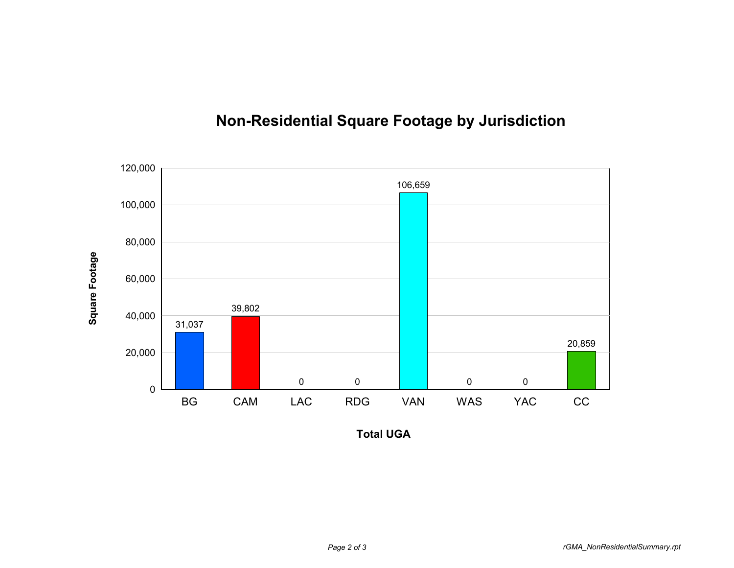

## **Non-Residential Square Footage by Jurisdiction**

**Total UGA**